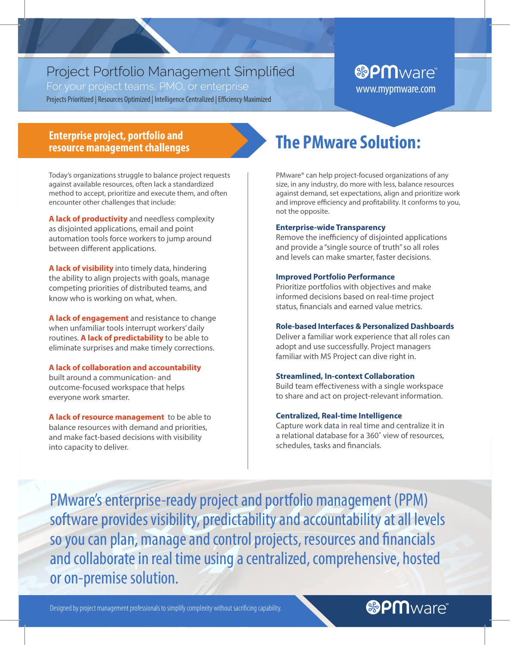# Project Portfolio Management Simplified

For your project teams, PMO, or enterprise Projects Prioritized | Resources Optimized | Intelligence Centralized | Efficiency Maximized

# **&PM**ware® www.mypmware.com

## **Enterprise project, portfolio and resource management challenges**

Today's organizations struggle to balance project requests against available resources, often lack a standardized method to accept, prioritize and execute them, and often encounter other challenges that include:

**A lack of productivity** and needless complexity as disjointed applications, email and point automation tools force workers to jump around between diferent applications.

**A lack of visibility** into timely data, hindering the ability to align projects with goals, manage competing priorities of distributed teams, and know who is working on what, when.

**A lack of engagement** and resistance to change when unfamiliar tools interrupt workers' daily routines. **A lack of predictability** to be able to eliminate surprises and make timely corrections.

### **A lack of collaboration and accountability**

built around a communication- and outcome-focused workspace that helps everyone work smarter.

**A lack of resource management** to be able to balance resources with demand and priorities, and make fact-based decisions with visibility into capacity to deliver.

# **The PMware Solution:**

PMware® can help project-focused organizations of any size, in any industry, do more with less, balance resources against demand, set expectations, align and prioritize work and improve efficiency and profitability. It conforms to you, not the opposite.

### **Enterprise-wide Transparency**

Remove the inefficiency of disjointed applications and provide a "single source of truth" so all roles and levels can make smarter, faster decisions.

### **Improved Portfolio Performance**

Prioritize portfolios with objectives and make informed decisions based on real-time project status, fnancials and earned value metrics.

### **Role-based Interfaces & Personalized Dashboards**

Deliver a familiar work experience that all roles can adopt and use successfully. Project managers familiar with MS Project can dive right in.

### **Streamlined, In-context Collaboration**

Build team efectiveness with a single workspace to share and act on project-relevant information.

### **Centralized, Real-time Intelligence**

Capture work data in real time and centralize it in a relational database for a 360˚ view of resources, schedules, tasks and fnancials.

**®PM**ware

PMware's enterprise-ready project and portfolio management (PPM) software provides visibility, predictability and accountability at all levels so you can plan, manage and control projects, resources and fnancials and collaborate in real time using a centralized, comprehensive, hosted or on-premise solution.

Designed by project management professionals to simplify complexity without sacrifcing capability.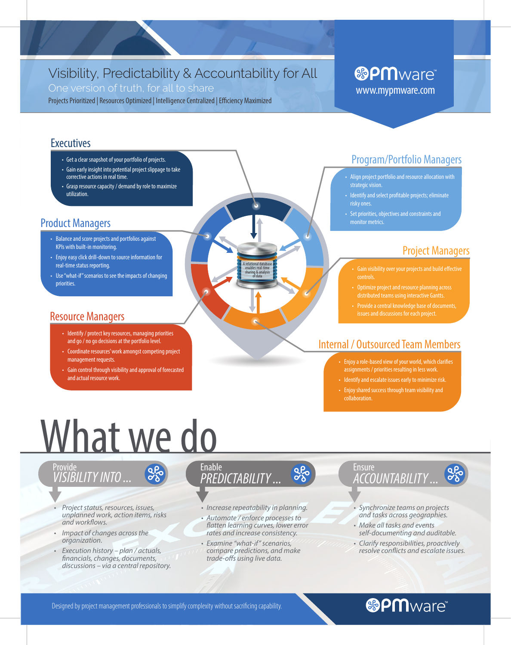# Visibility, Predictability & Accountability for All

One version of truth, for all to share

Projects Prioritized | Resources Optimized | Intelligence Centralized | Efficiency Maximized

# **&PM**ware® www.mypmware.com

## **Executives**

- Get a clear snapshot of your portfolio of projects.
- Gain early insight into potential project slippage to take corrective actions in real time.
- Grasp resource capacity / demand by role to maximize utilization.

# **Product Managers**

- Balance and score projects and portfolios against KPIs with built-in monitoring.
- Enjoy easy click drill-down to source information for real-time status reporting.
- Use "what-if" scenarios to see the impacts of changing priorities.

# **Resource Managers**

- Identify / protect key resources, managing priorities and go / no go decisions at the portfolio level.
- Coordinate resources' work amongst competing project management requests.
- Gain control through visibility and approval of forecasted and actual resource work.

# **Program/Portfolio Managers**

- Align project portfolio and resource allocation with strategic vision.
- · Identify and select profitable projects; eliminate risky ones.
- Set priorities, objectives and constraints and monitor metrics.

# **Project Managers**

- Gain visibility over your projects and build effective
- distributed teams using interactive Gantts.
- 

# **Internal / Outsourced Team Members**

- Enjoy a role-based view of your world, which clarifies<br>assignments / priorities resulting in less work.
- Identify and escalate issues early to minimize risk.
- Enjoy shared success through team visibility and collaboration.

# What we do

**a**po

# Provide<br><u>VISIBILITY</u> INTO ...

- Project status, resources, issues, unplanned work, action items, risks and workflows.
- Impact of changes across the organization.
- Execution history plan / actuals, financials, changes, documents, discussions - via a central repository.

### **Enable PREDICTABILITY...**

· Increase repeatability in planning.

apo

- · Automate / enforce processes to flatten learning curves, lower error rates and increase consistency.
- · Examine "what-if" scenarios, compare predictions, and make trade-offs using live data.

# Ensure<br>*ACCOUNTABILITY* ...

· Synchronize teams on projects and tasks across geographies.

**QP** 

- · Make all tasks and events self-documenting and auditable.
- · Clarify responsibilities, proactively resolve conflicts and escalate issues.

### Designed by project management professionals to simplify complexity without sacrificing capability.

# **®PM**ware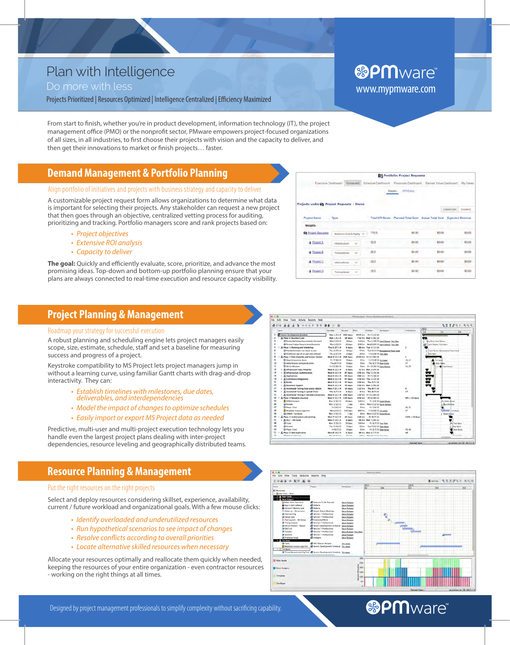# Plan with Intelligence

### Do more with less

Projects Prioritized | Resources Optimized | Intelligence Centralized | Efficiency Maximized

From start to finish, whether you're in product development, information technology (IT), the project management office (PMO) or the nonprofit sector, PMware empowers project-focused organizations of all sizes, in all industries, to frst choose their projects with vision and the capacity to deliver, and then get their innovations to market or fnish projects… faster.

# **Demand Management & Portfolio Planning**

### Align portfolio of initiatives and projects with business strategy and capacity to deliver

A customizable project request form allows organizations to determine what data is important for selecting their projects. Any stakeholder can request a new project that then goes through an objective, centralized vetting process for auditing, prioritizing and tracking. Portfolio managers score and rank projects based on:

- Project objectives
- Extensive ROI analysis
- Capacity to deliver

The goal: Quickly and efficiently evaluate, score, prioritize, and advance the most promising ideas. Top-down and bottom-up portfolio planning ensure that your plans are always connected to real-time execution and resource capacity visibility.

### **Project Planning & Management**

#### Roadmap your strategy for successful execution

A robust planning and scheduling engine lets project managers easily scope, size, estimate, schedule, staff and set a baseline for measuring success and progress of a project.

Keystroke compatibility to MS Project lets project managers jump in without a learning curve, using familiar Gantt charts with drag-and-drop interactivity. They can:

- Establish timelines with milestones, due dates, deliverables, and interdependencies
- Model the impact of changes to optimize schedules
- Easily import or export MS Project data as needed

Predictive, multi-user and multi-project execution technology lets you handle even the largest project plans dealing with inter-project dependencies, resource leveling and geographically distributed teams.

# **Resource Planning & Management**

### Put the right resources on the right projects

Select and deploy resources considering skillset, experience, availability, current / future workload and organizational goals. With a few mouse clicks:

- Identify overloaded and underutilized resources
- Run hypothetical scenarios to see impact of changes
- Resolve conflicts according to overall priorities
- Locate alternative skilled resources when necessary

Allocate your resources optimally and reallocate them quickly when needed, keeping the resources of your entire organization - even contractor resources - working on the right things at all times.





# **&PM**ware®

www.mypmware.com

Portfolio: Project Reque

320230.88

Designed by project management professionals to simplify complexity without sacrifcing capability.

**®PM**ware®

|                            |                           |                        |                                                       |        | Column Set | (Custom) |
|----------------------------|---------------------------|------------------------|-------------------------------------------------------|--------|------------|----------|
| <b>Project Name</b>        | Type                      | <b>Total KPI Score</b> | Planned Total Cost Actual Total Cost Expected Revenue |        |            |          |
| Weights                    |                           |                        |                                                       |        |            |          |
| <b>Ch</b> Project Requests | Balanced Cost & Agilty    | 713.5                  | \$0.00                                                | \$0.00 |            | \$0.00   |
| <b>A</b> Project A         | intrastructure<br>$\sim$  | 32.5                   | \$0.00                                                | \$0.00 |            | \$0.00   |
| A Project B                | Transactional<br>$\sim$   | 28.0                   | \$0.00                                                | \$0.00 |            | \$0.00   |
| A Project C                | $\omega$<br>Informational | 32.5                   | \$0.00                                                | 50.00  |            | \$0.00   |
| <b>A</b> Project D         | Transactional<br>$\sim$   | 28.0                   | \$0.00                                                | \$0.00 |            | \$0.00   |

Edit View Tools Activity Reports Help

 $0.016644$  \*\*\*\* 00 04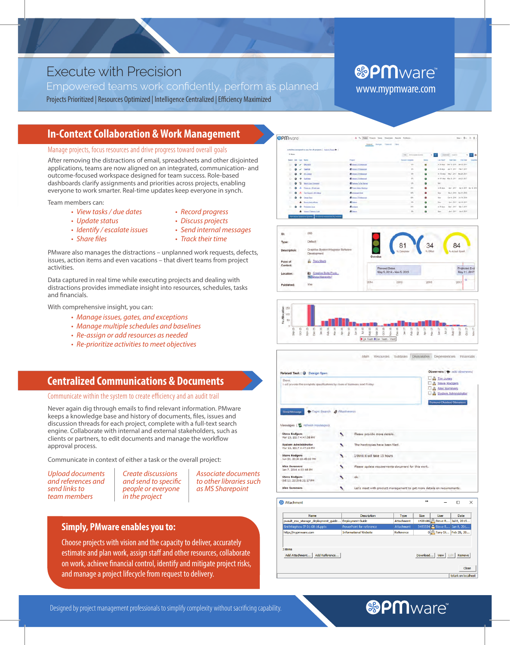# Execute with Precision

Empowered teams work confidently, perform as planned Projects Prioritized | Resources Optimized | Intelligence Centralized | Efficiency Maximized

# **In-Context Collaboration & Work Management**

#### Manage projects, focus resources and drive progress toward overall goals

After removing the distractions of email, spreadsheets and other disjointed applications, teams are now aligned on an integrated, communication- and outcome-focused workspace designed for team success. Role-based dashboards clarify assignments and priorities across projects, enabling everyone to work smarter. Real-time updates keep everyone in synch.

Team members can:

- View tasks / due dates
- Update status
- Identify / escalate issues
- Share files
- Record progress
- Discuss projects
- Send internal messages
- Track their time

PMware also manages the distractions – unplanned work requests, defects, issues, action items and even vacations – that divert teams from project activities.

Data captured in real time while executing projects and dealing with distractions provides immediate insight into resources, schedules, tasks and fnancials.

With comprehensive insight, you can:

- Manage issues, gates, and exceptions
- Manage multiple schedules and baselines
- Re-assign or add resources as needed
- Re-prioritize activities to meet objectives

### **Centralized Communications & Documents**

Communicate within the system to create efficiency and an audit trail

Never again dig through emails to fnd relevant information. PMware keeps a knowledge base and history of documents, fles, issues and discussion threads for each project, complete with a full-text search engine. Collaborate with internal and external stakeholders, such as clients or partners, to edit documents and manage the workflow approval process.

Communicate in context of either a task or the overall project:

Upload documents and references and send links to team members

Create discussions and send to specifc people or everyone in the project

Associate documents to other libraries such as MS Sharepoint

### **Simply, PMware enables you to:**

Choose projects with vision and the capacity to deliver, accurately estimate and plan work, assign staff and other resources, collaborate on work, achieve fnancial control, identify and mitigate project risks, and manage a project lifecycle from request to delivery.

# **&PM**ware www.mypmware.com







Main Resources Subtasks Discussions Dependencies Financial

| Related Task: O Design Spec.                                                                       |                                                                                                                                                        |                                                    |
|----------------------------------------------------------------------------------------------------|--------------------------------------------------------------------------------------------------------------------------------------------------------|----------------------------------------------------|
| Steve.<br>I will provide the complete specifications by close of business next Friday.             | $\Box$ $P_{\bullet}$ Tim Jones<br><b>B</b> Steve Rodgers<br><b>EL Alex Summers</b><br><b>B</b> System Administrator<br><b>Remove Checked Observers</b> |                                                    |
| Copic Search & Altachments<br>Send Message<br>Messages ( refresh messages)<br><b>Steve Rodgers</b> | ↖                                                                                                                                                      | Please provide more details.                       |
| Mar 13, 2017 4:47:58 PM                                                                            |                                                                                                                                                        |                                                    |
| <b>System Administrator</b>                                                                        |                                                                                                                                                        | The hardcopies have been filed.                    |
|                                                                                                    |                                                                                                                                                        |                                                    |
| Mar 13, 2017 4:47:24 PM<br><b>Steve Rodgers</b><br>Jun 22, 2016 12:45:22 PM                        |                                                                                                                                                        | I think it will take 15 hours                      |
|                                                                                                    |                                                                                                                                                        | Please update requirements document for this work. |
| <b>Alex Summers</b><br>Jan 7, 2016 4:03:48 PM<br><b>Steve Rodgers</b><br>Oct 13, 2015 6:31:17 PM   |                                                                                                                                                        | ök                                                 |



# **®PM**ware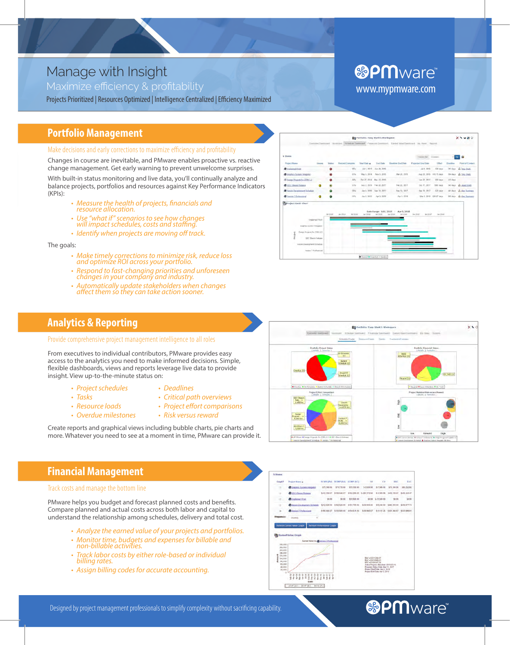# Manage with Insight

Maximize efficiency & profitability

Projects Prioritized | Resources Optimized | Intelligence Centralized | Efficiency Maximized

# **&PM**ware® www.mypmware.com

# **Portfolio Management**

Make decisions and early corrections to maximize efficiency and profitability

Changes in course are inevitable, and PMware enables proactive vs. reactive change management. Get early warning to prevent unwelcome surprises.

With built-in status monitoring and live data, you'll continually analyze and balance projects, portfolios and resources against Key Performance Indicators  $(KPIs)$ :

- Measure the health of projects, financials and resource allocation.
- Use "what if" scenarios to see how changes will impact schedules, costs and staffing.
- · Identify when projects are moving off track.

The goals:

- Make timely corrections to minimize risk, reduce loss<br>and optimize ROI across your portfolio.
- Respond to fast-changing priorities and unforeseen changes in your company and industry.
- Automatically update stakeholders when changes affect them so they can take action sooner.



olio: Tony Stark's Wor

Eg ro

 $\times$ 

ed Attention @ On Track

### **Analytics & Reporting**

Provide comprehensive project management intelligence to all roles

From executives to individual contributors, PMware provides easy access to the analytics you need to make informed decisions. Simple, flexible dashboards, views and reports leverage live data to provide insight. View up-to-the-minute status on:

- Project schedules
- Deadlines
- Tasks
- Critical path overviews
- 
- Resource loads • Overdue milestones
- Project effort comparisons
- Risk versus reward

Create reports and graphical views including bubble charts, pie charts and more. Whatever you need to see at a moment in time, PMware can provide it.

# **Financial Management**

#### Track costs and manage the bottom line

PMware helps you budget and forecast planned costs and benefits. Compare planned and actual costs across both labor and capital to understand the relationship among schedules, delivery and total cost.

- Analyze the earned value of your projects and portfolios.
- Monitor time, budgets and expenses for billable and non-billable activities.
- Track labor costs by either role-based or individual billing rates.
- Assign billing codes for accurate accounting.



# **<sup>®PMware®**</sup>